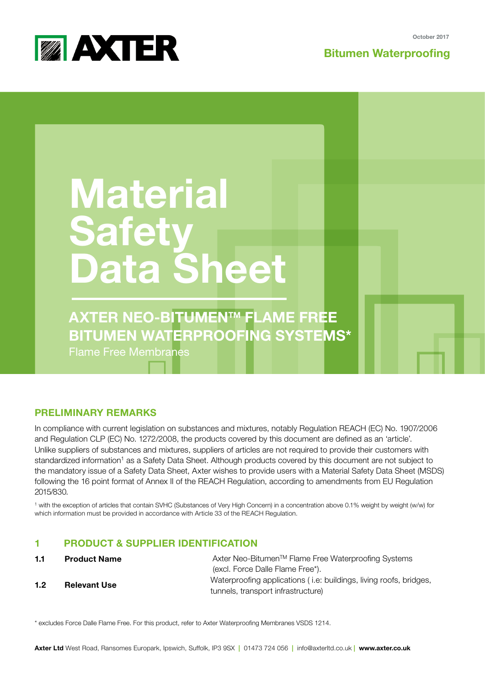**MAXTER** 

**Bitumen Waterproofing**

# **Material Safety Data Sheet**

**AXTER NEO**-BITUMENTM **FLAME FREE BITUMEN WATERPROOFING SYSTEMS\*** Flame Free Membranes

# **PRELIMINARY REMARKS**

In compliance with current legislation on substances and mixtures, notably Regulation REACH (EC) No. 1907/2006 and Regulation CLP (EC) No. 1272/2008, the products covered by this document are defined as an 'article'. Unlike suppliers of substances and mixtures, suppliers of articles are not required to provide their customers with standardized information<sup>1</sup> as a Safety Data Sheet. Although products covered by this document are not subject to the mandatory issue of a Safety Data Sheet, Axter wishes to provide users with a Material Safety Data Sheet (MSDS) following the 16 point format of Annex II of the REACH Regulation, according to amendments from EU Regulation 2015/830.

1 with the exception of articles that contain SVHC (Substances of Very High Concern) in a concentration above 0.1% weight by weight (w/w) for which information must be provided in accordance with Article 33 of the REACH Regulation.

# **1 PRODUCT & SUPPLIER IDENTIFICATION**

- **1.1 Product Name**
- **1.2 Relevant Use**

Axter Neo-Bitumen<sup>™</sup> Flame Free Waterproofing Systems (excl. Force Dalle Flame Free\*). Waterproofing applications ( i.e: buildings, living roofs, bridges, tunnels, transport infrastructure)

\* excludes Force Dalle Flame Free. For this product, refer to Axter Waterproofing Membranes VSDS 1214.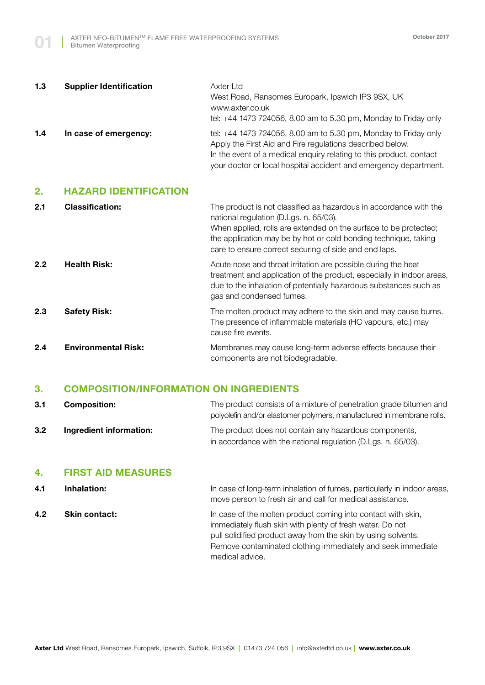| 1.3 | <b>Supplier Identification</b> | Axter Ltd<br>West Road, Ransomes Europark, Ipswich IP3 9SX, UK<br>www.axter.co.uk<br>tel: +44 1473 724056, 8.00 am to 5.30 pm, Monday to Friday only                                                                                                                    |
|-----|--------------------------------|-------------------------------------------------------------------------------------------------------------------------------------------------------------------------------------------------------------------------------------------------------------------------|
| 1.4 | In case of emergency:          | tel: +44 1473 724056, 8.00 am to 5.30 pm, Monday to Friday only<br>Apply the First Aid and Fire regulations described below.<br>In the event of a medical enquiry relating to this product, contact<br>your doctor or local hospital accident and emergency department. |

## **2. HAZARD IDENTIFICATION**

| 2.1 | <b>Classification:</b>     | The product is not classified as hazardous in accordance with the<br>national regulation (D.Lgs. n. 65/03).<br>When applied, rolls are extended on the surface to be protected;<br>the application may be by hot or cold bonding technique, taking<br>care to ensure correct securing of side and end laps. |
|-----|----------------------------|-------------------------------------------------------------------------------------------------------------------------------------------------------------------------------------------------------------------------------------------------------------------------------------------------------------|
| 2.2 | <b>Health Risk:</b>        | Acute nose and throat irritation are possible during the heat<br>treatment and application of the product, especially in indoor areas,<br>due to the inhalation of potentially hazardous substances such as<br>gas and condensed fumes.                                                                     |
| 2.3 | <b>Safety Risk:</b>        | The molten product may adhere to the skin and may cause burns.<br>The presence of inflammable materials (HC vapours, etc.) may<br>cause fire events.                                                                                                                                                        |
| 2.4 | <b>Environmental Risk:</b> | Membranes may cause long-term adverse effects because their<br>components are not biodegradable.                                                                                                                                                                                                            |

# **3. COMPOSITION/INFORMATION ON INGREDIENTS**

| 3.1 | <b>Composition:</b>     | The product consists of a mixture of penetration grade bitumen and<br>polyolefin and/or elastomer polymers, manufactured in membrane rolls. |
|-----|-------------------------|---------------------------------------------------------------------------------------------------------------------------------------------|
| 3.2 | Ingredient information: | The product does not contain any hazardous components,                                                                                      |
|     |                         | in accordance with the national regulation (D.Lgs. n. 65/03).                                                                               |

# **4. FIRST AID MEASURES**

| 4.1 | Inhalation:          | In case of long-term inhalation of fumes, particularly in indoor areas,<br>move person to fresh air and call for medical assistance.                                                                                                                                         |
|-----|----------------------|------------------------------------------------------------------------------------------------------------------------------------------------------------------------------------------------------------------------------------------------------------------------------|
| 4.2 | <b>Skin contact:</b> | In case of the molten product coming into contact with skin,<br>immediately flush skin with plenty of fresh water. Do not<br>pull solidified product away from the skin by using solvents.<br>Remove contaminated clothing immediately and seek immediate<br>medical advice. |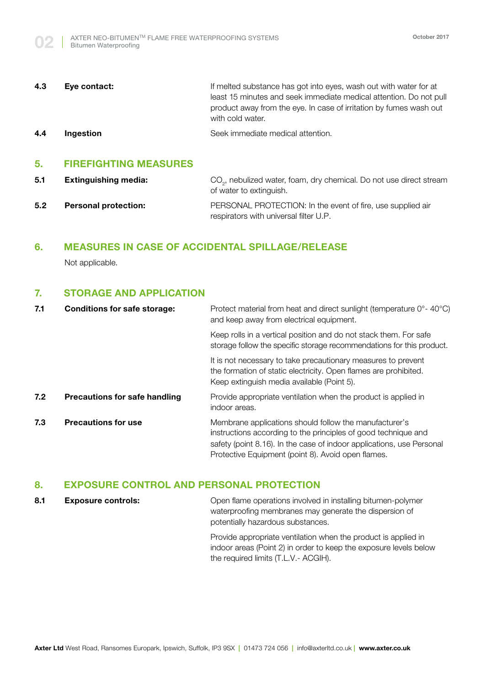| 4.3 | Eye contact:     | If melted substance has got into eyes, wash out with water for at                                                                        |
|-----|------------------|------------------------------------------------------------------------------------------------------------------------------------------|
|     |                  | least 15 minutes and seek immediate medical attention. Do not pull<br>product away from the eye. In case of irritation by fumes wash out |
|     |                  | with cold water.                                                                                                                         |
| 4.4 | <b>Ingestion</b> | Seek immediate medical attention.                                                                                                        |

# **5. FIREFIGHTING MEASURES**

| 5.1 | <b>Extinguishing media:</b> | CO <sub>2</sub> , nebulized water, foam, dry chemical. Do not use direct stream<br>of water to extinguish. |
|-----|-----------------------------|------------------------------------------------------------------------------------------------------------|
| 5.2 | <b>Personal protection:</b> | PERSONAL PROTECTION: In the event of fire, use supplied air<br>respirators with universal filter U.P.      |

# **6. MEASURES IN CASE OF ACCIDENTAL SPILLAGE/RELEASE**

Not applicable.

# **7. STORAGE AND APPLICATION**

| <b>Conditions for safe storage:</b>  | Protect material from heat and direct sunlight (temperature 0°-40°C)<br>and keep away from electrical equipment.                                                                                                                                        |
|--------------------------------------|---------------------------------------------------------------------------------------------------------------------------------------------------------------------------------------------------------------------------------------------------------|
|                                      | Keep rolls in a vertical position and do not stack them. For safe<br>storage follow the specific storage recommendations for this product.                                                                                                              |
|                                      | It is not necessary to take precautionary measures to prevent<br>the formation of static electricity. Open flames are prohibited.<br>Keep extinguish media available (Point 5).                                                                         |
| <b>Precautions for safe handling</b> | Provide appropriate ventilation when the product is applied in<br>indoor areas.                                                                                                                                                                         |
| <b>Precautions for use</b>           | Membrane applications should follow the manufacturer's<br>instructions according to the principles of good technique and<br>safety (point 8.16). In the case of indoor applications, use Personal<br>Protective Equipment (point 8). Avoid open flames. |
|                                      |                                                                                                                                                                                                                                                         |

# **8. EXPOSURE CONTROL AND PERSONAL PROTECTION**

8.1 **Exposure controls:** Open flame operations involved in installing bitumen-polymer waterproofing membranes may generate the dispersion of potentially hazardous substances.

> Provide appropriate ventilation when the product is applied in indoor areas (Point 2) in order to keep the exposure levels below the required limits (T.L.V.- ACGIH).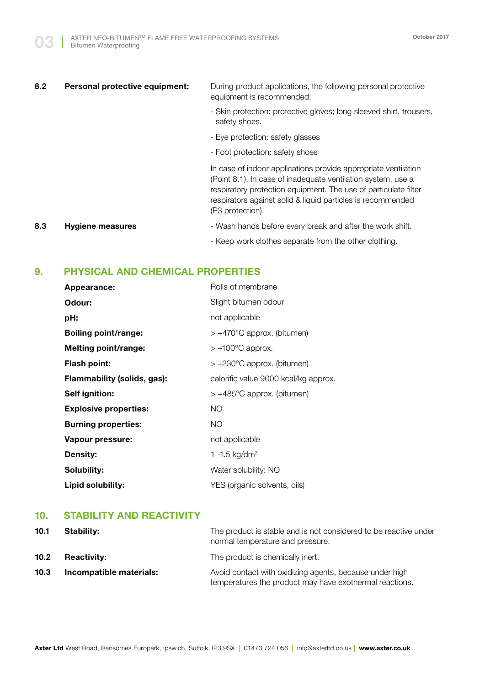# 8.2 **Personal protective equipment:** During product applications, the following personal protective equipment is recommended: - Skin protection: protective gloves; long sleeved shirt, trousers, safety shoes. - Eye protection: safety glasses - Foot protection: safety shoes In case of indoor applications provide appropriate ventilation (Point 8.1). In case of inadequate ventilation system, use a respiratory protection equipment. The use of particulate filter respirators against solid & liquid particles is recommended (P3 protection).

- **8.3 Hygiene measures Hygiene measures Figure 1** Mash hands before every break and after the work shift.
	- Keep work clothes separate from the other clothing.

# **9. PHYSICAL AND CHEMICAL PROPERTIES**

| <b>Appearance:</b>           | Rolls of membrane                    |
|------------------------------|--------------------------------------|
| Odour:                       | Slight bitumen odour                 |
| pH:                          | not applicable                       |
| <b>Boiling point/range:</b>  | $> +470^{\circ}$ C approx. (bitumen) |
| Melting point/range:         | $> +100^{\circ}$ C approx.           |
| <b>Flash point:</b>          | $> +230^{\circ}$ C approx. (bitumen) |
| Flammability (solids, gas):  | calorific value 9000 kcal/kg approx. |
| Self ignition:               | $> +485^{\circ}$ C approx. (bitumen) |
| <b>Explosive properties:</b> | <b>NO</b>                            |
| <b>Burning properties:</b>   | <b>NO</b>                            |
| Vapour pressure:             | not applicable                       |
| <b>Density:</b>              | 1 -1.5 kg/dm <sup>3</sup>            |
| Solubility:                  | Water solubility: NO                 |
| Lipid solubility:            | YES (organic solvents, oils)         |

# **10. STABILITY AND REACTIVITY**

| 10.1              | <b>Stability:</b>       | The product is stable and is not considered to be reactive under<br>normal temperature and pressure.               |
|-------------------|-------------------------|--------------------------------------------------------------------------------------------------------------------|
| 10.2 <sub>1</sub> | <b>Reactivity:</b>      | The product is chemically inert.                                                                                   |
| 10.3              | Incompatible materials: | Avoid contact with oxidizing agents, because under high<br>temperatures the product may have exothermal reactions. |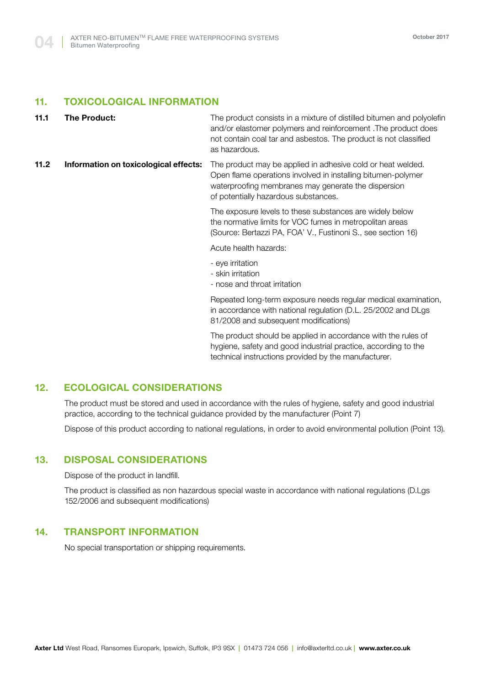## **11. TOXICOLOGICAL INFORMATION**

- **11.1 The Product:** The product consists in a mixture of distilled bitumen and polyolefin and/or elastomer polymers and reinforcement .The product does not contain coal tar and asbestos. The product is not classified as hazardous.
- **11.2 Information on toxicological effects:** The product may be applied in adhesive cold or heat welded. Open flame operations involved in installing bitumen-polymer waterproofing membranes may generate the dispersion of potentially hazardous substances.

The exposure levels to these substances are widely below the normative limits for VOC fumes in metropolitan areas (Source: Bertazzi PA, FOA' V., Fustinoni S., see section 16)

Acute health hazards:

- eye irritation
- skin irritation
- nose and throat irritation

Repeated long-term exposure needs regular medical examination, in accordance with national regulation (D.L. 25/2002 and DLgs 81/2008 and subsequent modifications)

The product should be applied in accordance with the rules of hygiene, safety and good industrial practice, according to the technical instructions provided by the manufacturer.

# **12. ECOLOGICAL CONSIDERATIONS**

The product must be stored and used in accordance with the rules of hygiene, safety and good industrial practice, according to the technical guidance provided by the manufacturer (Point 7)

Dispose of this product according to national regulations, in order to avoid environmental pollution (Point 13).

## **13. DISPOSAL CONSIDERATIONS**

Dispose of the product in landfill.

The product is classified as non hazardous special waste in accordance with national regulations (D.Lgs 152/2006 and subsequent modifications)

# **14. TRANSPORT INFORMATION**

No special transportation or shipping requirements.